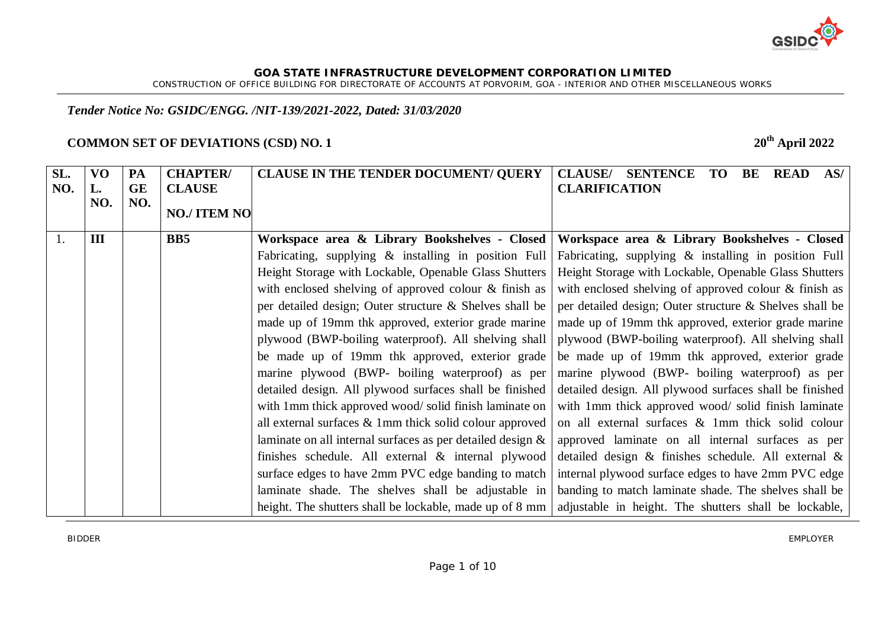

CONSTRUCTION OF OFFICE BUILDING FOR DIRECTORATE OF ACCOUNTS AT PORVORIM, GOA - INTERIOR AND OTHER MISCELLANEOUS WORKS

# *Tender Notice No: GSIDC/ENGG. /NIT-139/2021-2022, Dated: 31/03/2020*

# **COMMON SET OF DEVIATIONS (CSD) NO. 1 20th April 2022**

| SL.<br>NO. | <b>VO</b><br>L.<br>NO. | PA<br><b>GE</b><br>NO. | <b>CHAPTER/</b><br><b>CLAUSE</b><br><b>NO./ ITEM NO</b> | <b>CLAUSE IN THE TENDER DOCUMENT/ QUERY</b>                                                                                                                                                                                                                                                                                                                                                                                                                                                                                                                                                                                                                                                                                                                    | <b>CLAUSE</b> /<br><b>SENTENCE</b><br><b>TO</b><br><b>READ</b><br>BE<br>AS/<br><b>CLARIFICATION</b>                                                                                                                                                                                                                                                                                                                                                                                                                                                                                                                                                                                                                                 |
|------------|------------------------|------------------------|---------------------------------------------------------|----------------------------------------------------------------------------------------------------------------------------------------------------------------------------------------------------------------------------------------------------------------------------------------------------------------------------------------------------------------------------------------------------------------------------------------------------------------------------------------------------------------------------------------------------------------------------------------------------------------------------------------------------------------------------------------------------------------------------------------------------------------|-------------------------------------------------------------------------------------------------------------------------------------------------------------------------------------------------------------------------------------------------------------------------------------------------------------------------------------------------------------------------------------------------------------------------------------------------------------------------------------------------------------------------------------------------------------------------------------------------------------------------------------------------------------------------------------------------------------------------------------|
| 1.         | III                    |                        | B <sub>B5</sub>                                         | Workspace area & Library Bookshelves - Closed<br>Fabricating, supplying $\&$ installing in position Full<br>Height Storage with Lockable, Openable Glass Shutters<br>with enclosed shelving of approved colour & finish as<br>per detailed design; Outer structure & Shelves shall be<br>made up of 19mm thk approved, exterior grade marine<br>plywood (BWP-boiling waterproof). All shelving shall<br>be made up of 19mm thk approved, exterior grade<br>marine plywood (BWP- boiling waterproof) as per<br>detailed design. All plywood surfaces shall be finished<br>with 1mm thick approved wood/solid finish laminate on<br>all external surfaces $\&$ 1 mm thick solid colour approved<br>laminate on all internal surfaces as per detailed design $\&$ | Workspace area & Library Bookshelves - Closed<br>Fabricating, supplying & installing in position Full<br>Height Storage with Lockable, Openable Glass Shutters<br>with enclosed shelving of approved colour & finish as<br>per detailed design; Outer structure & Shelves shall be<br>made up of 19mm thk approved, exterior grade marine<br>plywood (BWP-boiling waterproof). All shelving shall<br>be made up of 19mm thk approved, exterior grade<br>marine plywood (BWP- boiling waterproof) as per<br>detailed design. All plywood surfaces shall be finished<br>with 1mm thick approved wood/ solid finish laminate<br>on all external surfaces & 1mm thick solid colour<br>approved laminate on all internal surfaces as per |
|            |                        |                        |                                                         | finishes schedule. All external & internal plywood<br>surface edges to have 2mm PVC edge banding to match<br>laminate shade. The shelves shall be adjustable in<br>height. The shutters shall be lockable, made up of 8 mm                                                                                                                                                                                                                                                                                                                                                                                                                                                                                                                                     | detailed design & finishes schedule. All external &<br>internal plywood surface edges to have 2mm PVC edge<br>banding to match laminate shade. The shelves shall be<br>adjustable in height. The shutters shall be lockable,                                                                                                                                                                                                                                                                                                                                                                                                                                                                                                        |

BIDDER EMPLOYER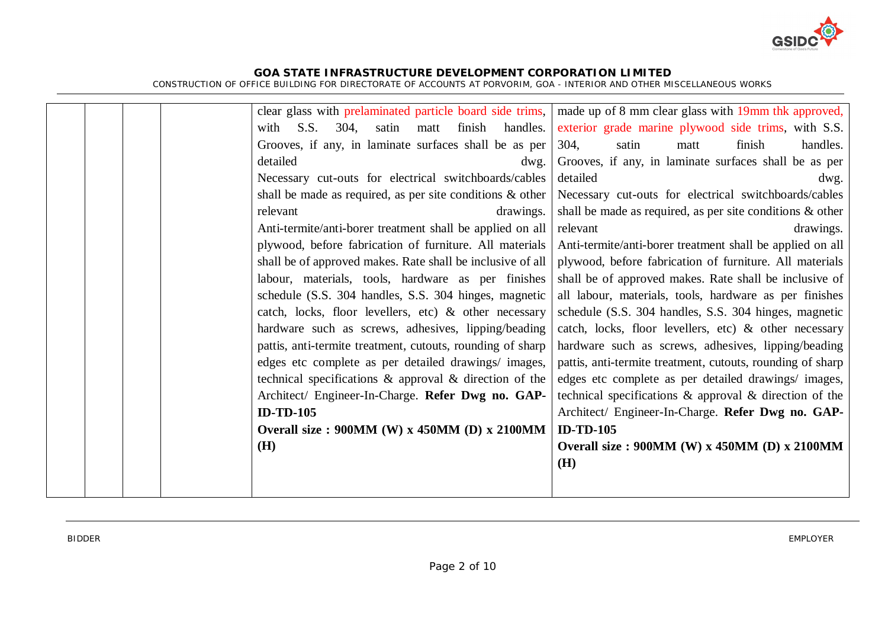

| clear glass with prelaminated particle board side trims,     | made up of 8 mm clear glass with 19mm thk approved,          |
|--------------------------------------------------------------|--------------------------------------------------------------|
| S.S.<br>304,<br>handles.<br>satin<br>finish<br>with<br>matt  | exterior grade marine plywood side trims, with S.S.          |
| Grooves, if any, in laminate surfaces shall be as per        | 304.<br>finish<br>satin<br>handles.<br>matt                  |
| detailed<br>dwg.                                             | Grooves, if any, in laminate surfaces shall be as per        |
| Necessary cut-outs for electrical switchboards/cables        | detailed<br>dwg.                                             |
| shall be made as required, as per site conditions $\&$ other | Necessary cut-outs for electrical switchboards/cables        |
| relevant<br>drawings.                                        | shall be made as required, as per site conditions $\&$ other |
| Anti-termite/anti-borer treatment shall be applied on all    | drawings.<br>relevant                                        |
| plywood, before fabrication of furniture. All materials      | Anti-termite/anti-borer treatment shall be applied on all    |
| shall be of approved makes. Rate shall be inclusive of all   | plywood, before fabrication of furniture. All materials      |
| labour, materials, tools, hardware as per finishes           | shall be of approved makes. Rate shall be inclusive of       |
| schedule (S.S. 304 handles, S.S. 304 hinges, magnetic        | all labour, materials, tools, hardware as per finishes       |
| catch, locks, floor levellers, etc) & other necessary        | schedule (S.S. 304 handles, S.S. 304 hinges, magnetic        |
| hardware such as screws, adhesives, lipping/beading          | catch, locks, floor levellers, etc) & other necessary        |
| pattis, anti-termite treatment, cutouts, rounding of sharp   | hardware such as screws, adhesives, lipping/beading          |
| edges etc complete as per detailed drawings/ images,         | pattis, anti-termite treatment, cutouts, rounding of sharp   |
| technical specifications $\&$ approval $\&$ direction of the | edges etc complete as per detailed drawings/ images,         |
| Architect/ Engineer-In-Charge. Refer Dwg no. GAP-            | technical specifications $\&$ approval $\&$ direction of the |
| <b>ID-TD-105</b>                                             | Architect/ Engineer-In-Charge. Refer Dwg no. GAP-            |
| Overall size: 900MM (W) x 450MM (D) x 2100MM                 | <b>ID-TD-105</b>                                             |
| <b>(H)</b>                                                   | Overall size: $900MM$ (W) x $450MM$ (D) x $2100MM$           |
|                                                              | (H)                                                          |
|                                                              |                                                              |
|                                                              |                                                              |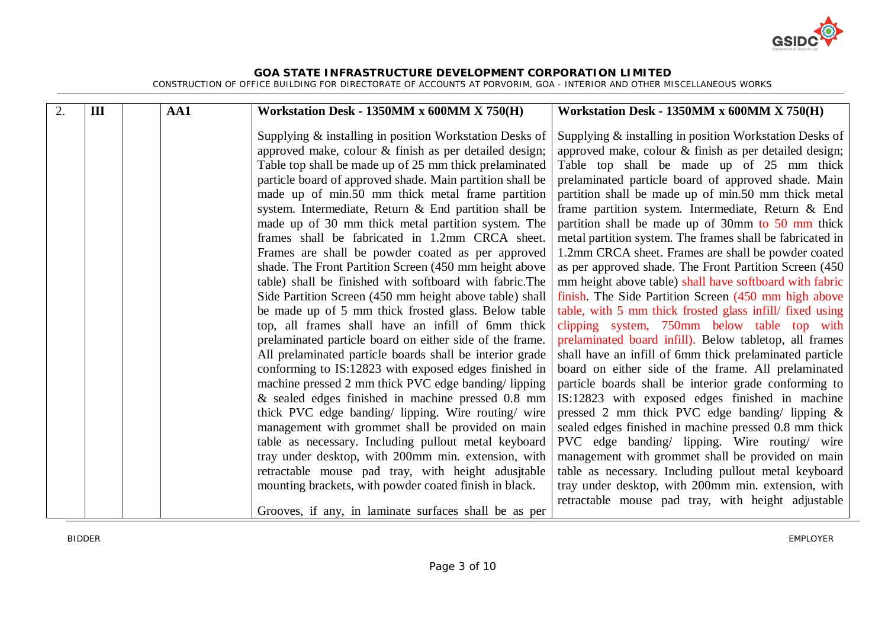

| 2. | III | AA1 | Workstation Desk - 1350MM x 600MM X 750(H)                                                                                                                                                                                                                                                                                                                                                                                                                                                                                                                                                                                                                                                                                                                                                                                                                                                                                                                                                                                                                                                                                                                                                                                                                                        | Workstation Desk - 1350MM x 600MM X 750(H)                                                                                                                                                                                                                                                                                                                                                                                                                                                                                                                                                                                                                                                                                                                                                                                                                                                                                                                                                                                                                                                                                                                                                                                                                  |
|----|-----|-----|-----------------------------------------------------------------------------------------------------------------------------------------------------------------------------------------------------------------------------------------------------------------------------------------------------------------------------------------------------------------------------------------------------------------------------------------------------------------------------------------------------------------------------------------------------------------------------------------------------------------------------------------------------------------------------------------------------------------------------------------------------------------------------------------------------------------------------------------------------------------------------------------------------------------------------------------------------------------------------------------------------------------------------------------------------------------------------------------------------------------------------------------------------------------------------------------------------------------------------------------------------------------------------------|-------------------------------------------------------------------------------------------------------------------------------------------------------------------------------------------------------------------------------------------------------------------------------------------------------------------------------------------------------------------------------------------------------------------------------------------------------------------------------------------------------------------------------------------------------------------------------------------------------------------------------------------------------------------------------------------------------------------------------------------------------------------------------------------------------------------------------------------------------------------------------------------------------------------------------------------------------------------------------------------------------------------------------------------------------------------------------------------------------------------------------------------------------------------------------------------------------------------------------------------------------------|
|    |     |     | Supplying & installing in position Workstation Desks of<br>approved make, colour & finish as per detailed design;<br>Table top shall be made up of 25 mm thick prelaminated<br>particle board of approved shade. Main partition shall be<br>made up of min.50 mm thick metal frame partition<br>system. Intermediate, Return & End partition shall be<br>made up of 30 mm thick metal partition system. The<br>frames shall be fabricated in 1.2mm CRCA sheet.<br>Frames are shall be powder coated as per approved<br>shade. The Front Partition Screen (450 mm height above<br>table) shall be finished with softboard with fabric. The<br>Side Partition Screen (450 mm height above table) shall<br>be made up of 5 mm thick frosted glass. Below table<br>top, all frames shall have an infill of 6mm thick<br>prelaminated particle board on either side of the frame.<br>All prelaminated particle boards shall be interior grade<br>conforming to IS:12823 with exposed edges finished in<br>machine pressed 2 mm thick PVC edge banding/lipping<br>& sealed edges finished in machine pressed 0.8 mm<br>thick PVC edge banding/ lipping. Wire routing/ wire<br>management with grommet shall be provided on main<br>table as necessary. Including pullout metal keyboard | Supplying & installing in position Workstation Desks of<br>approved make, colour & finish as per detailed design;<br>Table top shall be made up of 25 mm thick<br>prelaminated particle board of approved shade. Main<br>partition shall be made up of min.50 mm thick metal<br>frame partition system. Intermediate, Return & End<br>partition shall be made up of 30mm to 50 mm thick<br>metal partition system. The frames shall be fabricated in<br>1.2mm CRCA sheet. Frames are shall be powder coated<br>as per approved shade. The Front Partition Screen (450)<br>mm height above table) shall have softboard with fabric<br>finish. The Side Partition Screen (450 mm high above<br>table, with 5 mm thick frosted glass infill/ fixed using<br>clipping system, 750mm below table top with<br>prelaminated board infill). Below tabletop, all frames<br>shall have an infill of 6mm thick prelaminated particle<br>board on either side of the frame. All prelaminated<br>particle boards shall be interior grade conforming to<br>IS:12823 with exposed edges finished in machine<br>pressed 2 mm thick PVC edge banding/ lipping $\&$<br>sealed edges finished in machine pressed 0.8 mm thick<br>PVC edge banding/ lipping. Wire routing/ wire |
|    |     |     | tray under desktop, with 200mm min. extension, with                                                                                                                                                                                                                                                                                                                                                                                                                                                                                                                                                                                                                                                                                                                                                                                                                                                                                                                                                                                                                                                                                                                                                                                                                               | management with grommet shall be provided on main                                                                                                                                                                                                                                                                                                                                                                                                                                                                                                                                                                                                                                                                                                                                                                                                                                                                                                                                                                                                                                                                                                                                                                                                           |
|    |     |     | retractable mouse pad tray, with height adusitable<br>mounting brackets, with powder coated finish in black.                                                                                                                                                                                                                                                                                                                                                                                                                                                                                                                                                                                                                                                                                                                                                                                                                                                                                                                                                                                                                                                                                                                                                                      | table as necessary. Including pullout metal keyboard<br>tray under desktop, with 200mm min. extension, with                                                                                                                                                                                                                                                                                                                                                                                                                                                                                                                                                                                                                                                                                                                                                                                                                                                                                                                                                                                                                                                                                                                                                 |
|    |     |     | Grooves, if any, in laminate surfaces shall be as per                                                                                                                                                                                                                                                                                                                                                                                                                                                                                                                                                                                                                                                                                                                                                                                                                                                                                                                                                                                                                                                                                                                                                                                                                             | retractable mouse pad tray, with height adjustable                                                                                                                                                                                                                                                                                                                                                                                                                                                                                                                                                                                                                                                                                                                                                                                                                                                                                                                                                                                                                                                                                                                                                                                                          |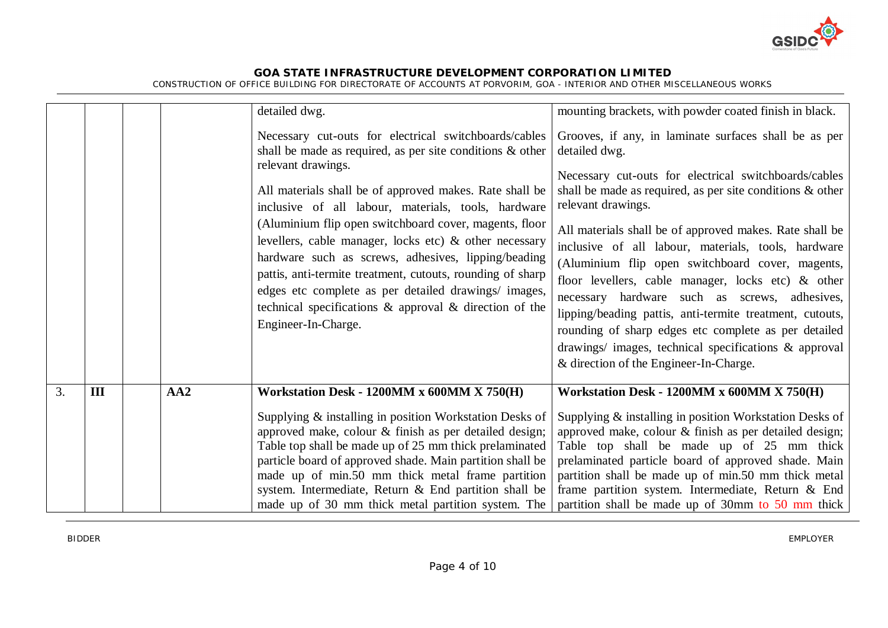

|    |     |     | detailed dwg.<br>Necessary cut-outs for electrical switchboards/cables<br>shall be made as required, as per site conditions & other<br>relevant drawings.<br>All materials shall be of approved makes. Rate shall be<br>inclusive of all labour, materials, tools, hardware<br>(Aluminium flip open switchboard cover, magents, floor<br>levellers, cable manager, locks etc) & other necessary<br>hardware such as screws, adhesives, lipping/beading<br>pattis, anti-termite treatment, cutouts, rounding of sharp<br>edges etc complete as per detailed drawings/ images,<br>technical specifications & approval & direction of the<br>Engineer-In-Charge. | mounting brackets, with powder coated finish in black.<br>Grooves, if any, in laminate surfaces shall be as per<br>detailed dwg.<br>Necessary cut-outs for electrical switchboards/cables<br>shall be made as required, as per site conditions $\&$ other<br>relevant drawings.<br>All materials shall be of approved makes. Rate shall be<br>inclusive of all labour, materials, tools, hardware<br>(Aluminium flip open switchboard cover, magents,<br>floor levellers, cable manager, locks etc) & other<br>necessary hardware such as screws, adhesives,<br>lipping/beading pattis, anti-termite treatment, cutouts,<br>rounding of sharp edges etc complete as per detailed<br>drawings/ images, technical specifications & approval<br>& direction of the Engineer-In-Charge. |
|----|-----|-----|---------------------------------------------------------------------------------------------------------------------------------------------------------------------------------------------------------------------------------------------------------------------------------------------------------------------------------------------------------------------------------------------------------------------------------------------------------------------------------------------------------------------------------------------------------------------------------------------------------------------------------------------------------------|-------------------------------------------------------------------------------------------------------------------------------------------------------------------------------------------------------------------------------------------------------------------------------------------------------------------------------------------------------------------------------------------------------------------------------------------------------------------------------------------------------------------------------------------------------------------------------------------------------------------------------------------------------------------------------------------------------------------------------------------------------------------------------------|
| 3. | III | AA2 | Workstation Desk - 1200MM x 600MM X 750(H)<br>Supplying & installing in position Workstation Desks of<br>approved make, colour & finish as per detailed design;<br>Table top shall be made up of 25 mm thick prelaminated<br>particle board of approved shade. Main partition shall be<br>made up of min.50 mm thick metal frame partition<br>system. Intermediate, Return & End partition shall be<br>made up of 30 mm thick metal partition system. The                                                                                                                                                                                                     | Workstation Desk - 1200MM x 600MM X 750(H)<br>Supplying & installing in position Workstation Desks of<br>approved make, colour & finish as per detailed design;<br>Table top shall be made up of 25 mm thick<br>prelaminated particle board of approved shade. Main<br>partition shall be made up of min.50 mm thick metal<br>frame partition system. Intermediate, Return & End<br>partition shall be made up of 30mm to 50 mm thick                                                                                                                                                                                                                                                                                                                                               |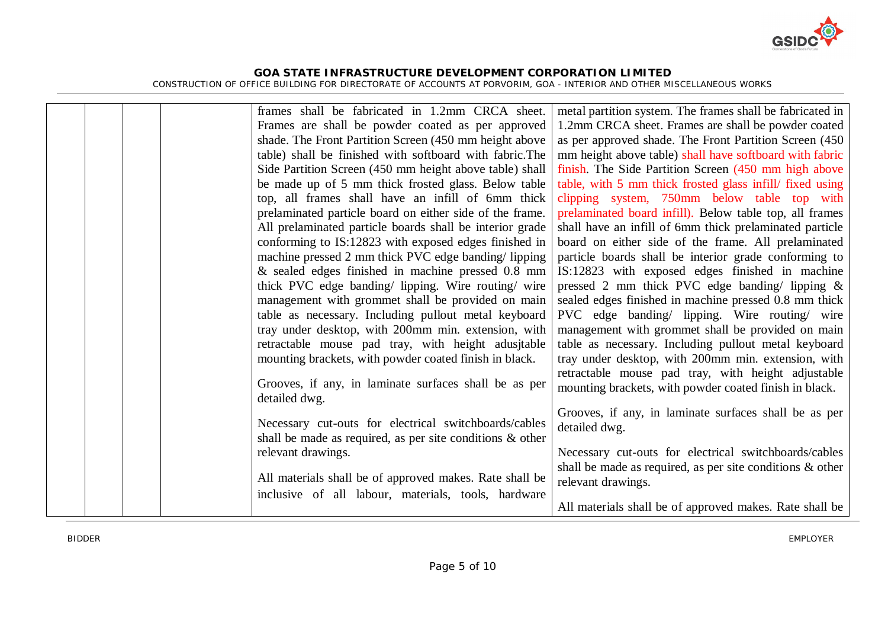

|  |  | frames shall be fabricated in 1.2mm CRCA sheet.                        | metal partition system. The frames shall be fabricated in    |
|--|--|------------------------------------------------------------------------|--------------------------------------------------------------|
|  |  | Frames are shall be powder coated as per approved                      | 1.2mm CRCA sheet. Frames are shall be powder coated          |
|  |  | shade. The Front Partition Screen (450 mm height above                 | as per approved shade. The Front Partition Screen (450)      |
|  |  | table) shall be finished with softboard with fabric. The               | mm height above table) shall have softboard with fabric      |
|  |  | Side Partition Screen (450 mm height above table) shall                | finish. The Side Partition Screen (450 mm high above         |
|  |  | be made up of 5 mm thick frosted glass. Below table                    | table, with 5 mm thick frosted glass infill/ fixed using     |
|  |  | top, all frames shall have an infill of 6mm thick                      | clipping system, 750mm below table top with                  |
|  |  | prelaminated particle board on either side of the frame.               | prelaminated board infill). Below table top, all frames      |
|  |  | All prelaminated particle boards shall be interior grade               | shall have an infill of 6mm thick prelaminated particle      |
|  |  | conforming to IS:12823 with exposed edges finished in                  | board on either side of the frame. All prelaminated          |
|  |  | machine pressed 2 mm thick PVC edge banding/lipping                    | particle boards shall be interior grade conforming to        |
|  |  | $\&$ sealed edges finished in machine pressed 0.8 mm                   | IS:12823 with exposed edges finished in machine              |
|  |  | thick PVC edge banding/ lipping. Wire routing/ wire                    | pressed 2 mm thick PVC edge banding/ lipping $\&$            |
|  |  | management with grommet shall be provided on main                      | sealed edges finished in machine pressed 0.8 mm thick        |
|  |  | table as necessary. Including pullout metal keyboard                   | PVC edge banding/ lipping. Wire routing/ wire                |
|  |  | tray under desktop, with 200mm min. extension, with                    | management with grommet shall be provided on main            |
|  |  | retractable mouse pad tray, with height adusjtable                     | table as necessary. Including pullout metal keyboard         |
|  |  | mounting brackets, with powder coated finish in black.                 | tray under desktop, with 200mm min. extension, with          |
|  |  |                                                                        | retractable mouse pad tray, with height adjustable           |
|  |  | Grooves, if any, in laminate surfaces shall be as per<br>detailed dwg. | mounting brackets, with powder coated finish in black.       |
|  |  |                                                                        | Grooves, if any, in laminate surfaces shall be as per        |
|  |  | Necessary cut-outs for electrical switchboards/cables                  | detailed dwg.                                                |
|  |  | shall be made as required, as per site conditions $\&$ other           |                                                              |
|  |  | relevant drawings.                                                     | Necessary cut-outs for electrical switchboards/cables        |
|  |  |                                                                        | shall be made as required, as per site conditions $\&$ other |
|  |  | All materials shall be of approved makes. Rate shall be                | relevant drawings.                                           |
|  |  | inclusive of all labour, materials, tools, hardware                    |                                                              |
|  |  |                                                                        | All materials shall be of approved makes. Rate shall be      |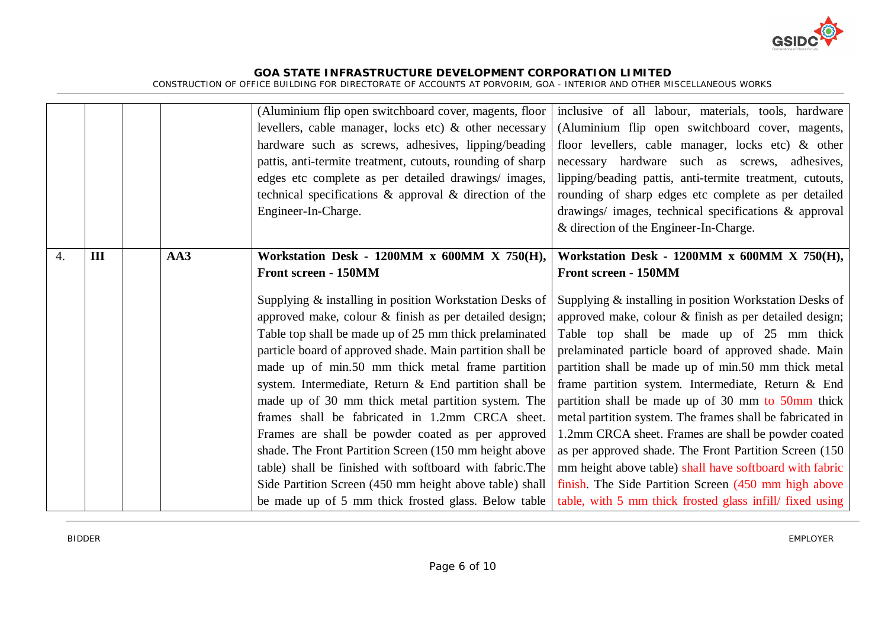

|                  |     |     | (Aluminium flip open switchboard cover, magents, floor<br>levellers, cable manager, locks etc) & other necessary<br>hardware such as screws, adhesives, lipping/beading<br>pattis, anti-termite treatment, cutouts, rounding of sharp<br>edges etc complete as per detailed drawings/ images,<br>technical specifications $\&$ approval $\&$ direction of the<br>Engineer-In-Charge.                                                                                                                                                                                                                                                                                                                                                                                                                                               | inclusive of all labour, materials, tools, hardware<br>(Aluminium flip open switchboard cover, magents,<br>floor levellers, cable manager, locks etc) & other<br>necessary hardware such as screws, adhesives,<br>lipping/beading pattis, anti-termite treatment, cutouts,<br>rounding of sharp edges etc complete as per detailed<br>drawings/ images, technical specifications & approval<br>& direction of the Engineer-In-Charge.                                                                                                                                                                                                                                                                                                                                                                                        |
|------------------|-----|-----|------------------------------------------------------------------------------------------------------------------------------------------------------------------------------------------------------------------------------------------------------------------------------------------------------------------------------------------------------------------------------------------------------------------------------------------------------------------------------------------------------------------------------------------------------------------------------------------------------------------------------------------------------------------------------------------------------------------------------------------------------------------------------------------------------------------------------------|------------------------------------------------------------------------------------------------------------------------------------------------------------------------------------------------------------------------------------------------------------------------------------------------------------------------------------------------------------------------------------------------------------------------------------------------------------------------------------------------------------------------------------------------------------------------------------------------------------------------------------------------------------------------------------------------------------------------------------------------------------------------------------------------------------------------------|
| $\overline{4}$ . | III | AA3 | Workstation Desk - 1200MM x 600MM X 750(H),<br>Front screen - 150MM<br>Supplying & installing in position Workstation Desks of<br>approved make, colour & finish as per detailed design;<br>Table top shall be made up of 25 mm thick prelaminated<br>particle board of approved shade. Main partition shall be<br>made up of min.50 mm thick metal frame partition<br>system. Intermediate, Return & End partition shall be<br>made up of 30 mm thick metal partition system. The<br>frames shall be fabricated in 1.2mm CRCA sheet.<br>Frames are shall be powder coated as per approved<br>shade. The Front Partition Screen (150 mm height above<br>table) shall be finished with softboard with fabric. The<br>Side Partition Screen (450 mm height above table) shall<br>be made up of 5 mm thick frosted glass. Below table | Workstation Desk - 1200MM x 600MM X 750(H),<br>Front screen - 150MM<br>Supplying & installing in position Workstation Desks of<br>approved make, colour & finish as per detailed design;<br>Table top shall be made up of 25 mm thick<br>prelaminated particle board of approved shade. Main<br>partition shall be made up of min.50 mm thick metal<br>frame partition system. Intermediate, Return & End<br>partition shall be made up of 30 mm to 50mm thick<br>metal partition system. The frames shall be fabricated in<br>1.2mm CRCA sheet. Frames are shall be powder coated<br>as per approved shade. The Front Partition Screen (150)<br>mm height above table) shall have softboard with fabric<br>finish. The Side Partition Screen (450 mm high above<br>table, with 5 mm thick frosted glass infill/ fixed using |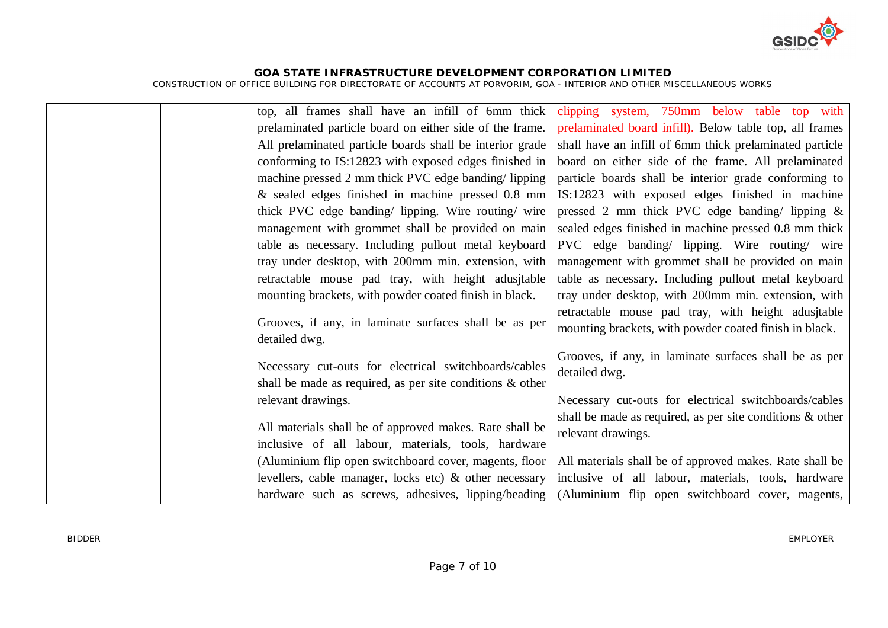

|  | top, all frames shall have an infill of 6mm thick                                                                     | clipping system, 750mm below table top with                  |
|--|-----------------------------------------------------------------------------------------------------------------------|--------------------------------------------------------------|
|  | prelaminated particle board on either side of the frame.                                                              | prelaminated board infill). Below table top, all frames      |
|  | All prelaminated particle boards shall be interior grade                                                              | shall have an infill of 6mm thick prelaminated particle      |
|  | conforming to IS:12823 with exposed edges finished in                                                                 | board on either side of the frame. All prelaminated          |
|  | machine pressed 2 mm thick PVC edge banding/lipping                                                                   | particle boards shall be interior grade conforming to        |
|  | & sealed edges finished in machine pressed 0.8 mm                                                                     | IS:12823 with exposed edges finished in machine              |
|  | thick PVC edge banding/ lipping. Wire routing/ wire                                                                   | pressed 2 mm thick PVC edge banding/ lipping $\&$            |
|  | management with grommet shall be provided on main                                                                     | sealed edges finished in machine pressed 0.8 mm thick        |
|  | table as necessary. Including pullout metal keyboard                                                                  | PVC edge banding/ lipping. Wire routing/ wire                |
|  | tray under desktop, with 200mm min. extension, with                                                                   | management with grommet shall be provided on main            |
|  | retractable mouse pad tray, with height adusjtable                                                                    | table as necessary. Including pullout metal keyboard         |
|  | mounting brackets, with powder coated finish in black.                                                                | tray under desktop, with 200mm min. extension, with          |
|  | Grooves, if any, in laminate surfaces shall be as per                                                                 | retractable mouse pad tray, with height adusjtable           |
|  | detailed dwg.                                                                                                         | mounting brackets, with powder coated finish in black.       |
|  |                                                                                                                       | Grooves, if any, in laminate surfaces shall be as per        |
|  | Necessary cut-outs for electrical switchboards/cables<br>shall be made as required, as per site conditions $\&$ other | detailed dwg.                                                |
|  | relevant drawings.                                                                                                    | Necessary cut-outs for electrical switchboards/cables        |
|  |                                                                                                                       | shall be made as required, as per site conditions $\&$ other |
|  | All materials shall be of approved makes. Rate shall be                                                               | relevant drawings.                                           |
|  | inclusive of all labour, materials, tools, hardware                                                                   |                                                              |
|  | (Aluminium flip open switchboard cover, magents, floor                                                                | All materials shall be of approved makes. Rate shall be      |
|  | levellers, cable manager, locks etc) $\&$ other necessary                                                             | inclusive of all labour, materials, tools, hardware          |
|  | hardware such as screws, adhesives, lipping/beading                                                                   | (Aluminium flip open switchboard cover, magents,             |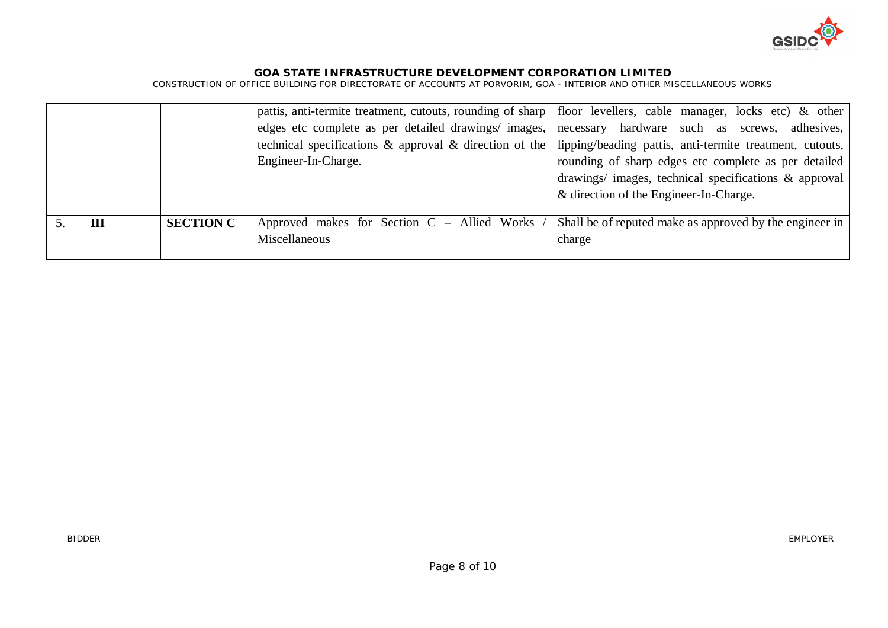

|     |                  | edges etc complete as per detailed drawings/ images, necessary hardware such as screws, adhesives,<br>technical specifications & approval & direction of the $\vert$<br>Engineer-In-Charge. | pattis, anti-termite treatment, cutouts, rounding of sharp   floor levellers, cable manager, locks etc) & other<br>lipping/beading pattis, anti-termite treatment, cutouts,<br>rounding of sharp edges etc complete as per detailed<br>drawings/ images, technical specifications & approval<br>& direction of the Engineer-In-Charge. |
|-----|------------------|---------------------------------------------------------------------------------------------------------------------------------------------------------------------------------------------|----------------------------------------------------------------------------------------------------------------------------------------------------------------------------------------------------------------------------------------------------------------------------------------------------------------------------------------|
| III | <b>SECTION C</b> | Approved makes for Section C – Allied Works<br>Miscellaneous                                                                                                                                | Shall be of reputed make as approved by the engineer in<br>charge                                                                                                                                                                                                                                                                      |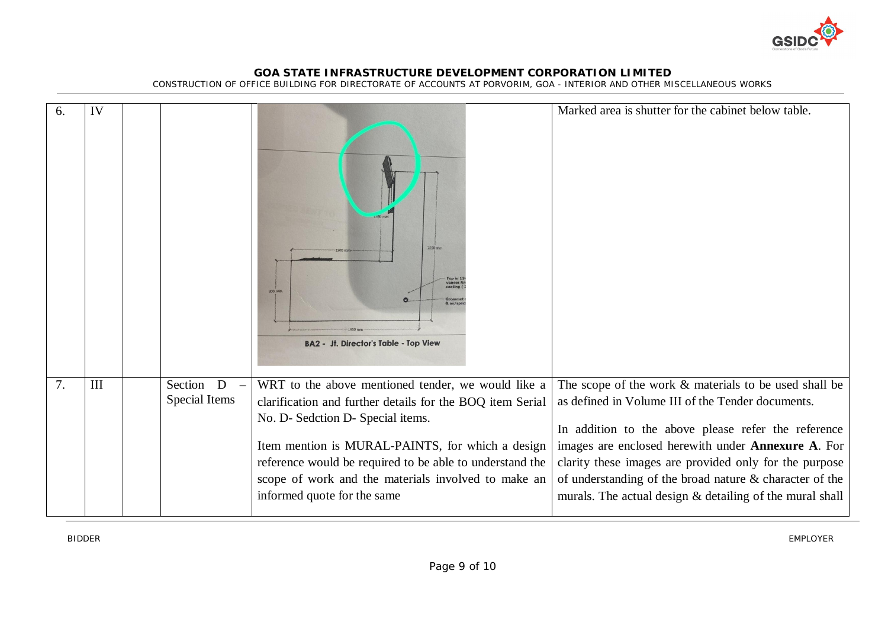

CONSTRUCTION OF OFFICE BUILDING FOR DIRECTORATE OF ACCOUNTS AT PORVORIM, GOA - INTERIOR AND OTHER MISCELLANEOUS WORKS

| 6. | IV  |                            | 2250 mm<br>Top in 1<br>veneer fi<br>$200$ mm<br>& as/spe<br><b>BA2 - Jt. Director's Table - Top View</b>                                                                                                                                                                                                                                                   | Marked area is shutter for the cabinet below table.                                                                                                                                                                                                                                                                                                                                                      |
|----|-----|----------------------------|------------------------------------------------------------------------------------------------------------------------------------------------------------------------------------------------------------------------------------------------------------------------------------------------------------------------------------------------------------|----------------------------------------------------------------------------------------------------------------------------------------------------------------------------------------------------------------------------------------------------------------------------------------------------------------------------------------------------------------------------------------------------------|
| 7. | III | Section D<br>Special Items | WRT to the above mentioned tender, we would like a<br>clarification and further details for the BOQ item Serial<br>No. D- Sedction D- Special items.<br>Item mention is MURAL-PAINTS, for which a design<br>reference would be required to be able to understand the<br>scope of work and the materials involved to make an<br>informed quote for the same | The scope of the work & materials to be used shall be<br>as defined in Volume III of the Tender documents.<br>In addition to the above please refer the reference<br>images are enclosed herewith under Annexure A. For<br>clarity these images are provided only for the purpose<br>of understanding of the broad nature & character of the<br>murals. The actual design & detailing of the mural shall |

BIDDER EMPLOYER